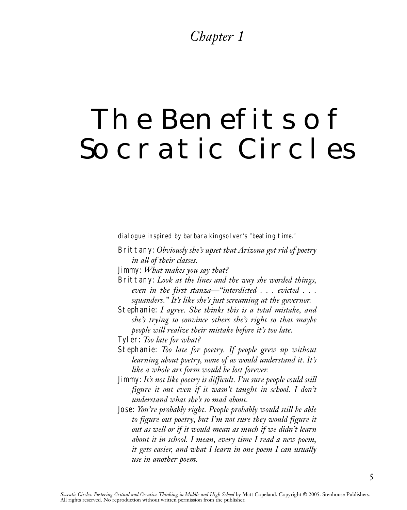# *Chapter 1*

# THE BENEFITS OF SOCRATIC CIRCLES

dialogue inspired by barbara kingsolver's "beating time."

- Brittany: *Obviously she's upset that Arizona got rid of poetry in all of their classes.*
- Jimmy: *What makes you say that?*
- Brittany: *Look at the lines and the way she worded things, even in the first stanza—"interdicted . . . evicted . . . squanders." It's like she's just screaming at the governor.*
- Stephanie: *I agree. She thinks this is a total mistake, and she's trying to convince others she's right so that maybe people will realize their mistake before it's too late.*

Tyler: *Too late for what?*

- Stephanie: *Too late for poetry. If people grew up without learning about poetry, none of us would understand it. It's like a whole art form would be lost forever.*
- Jimmy: *It's not like poetry is difficult. I'm sure people could still figure it out even if it wasn't taught in school. I don't understand what she's so mad about.*
- Jose: *You're probably right. People probably would still be able to figure out poetry, but I'm not sure they would figure it out as well or if it would mean as much if we didn't learn about it in school. I mean, every time I read a new poem, it gets easier, and what I learn in one poem I can usually use in another poem.*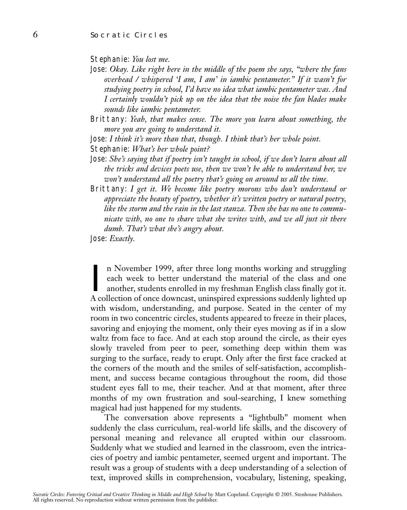Stephanie: *You lost me.*

- Jose: *Okay. Like right here in the middle of the poem she says, "where the fans overhead / whispered 'I am, I am' in iambic pentameter." If it wasn't for studying poetry in school, I'd have no idea what iambic pentameter was. And I certainly wouldn't pick up on the idea that the noise the fan blades make sounds like iambic pentameter.*
- Brittany: *Yeah, that makes sense. The more you learn about something, the more you are going to understand it.*

Jose: *I think it's more than that, though. I think that's her whole point.*

Stephanie: *What's her whole point?*

- Jose: *She's saying that if poetry isn't taught in school, if we don't learn about all the tricks and devices poets use, then we won't be able to understand her, we won't understand all the poetry that's going on around us all the time.*
- Brittany: *I get it. We become like poetry morons who don't understand or appreciate the beauty of poetry, whether it's written poetry or natural poetry, like the storm and the rain in the last stanza. Then she has no one to communicate with, no one to share what she writes with, and we all just sit there dumb. That's what she's angry about.*

Jose: *Exactly.*

In November 1999, after three long months working and struggling each week to better understand the material of the class and one another, students enrolled in my freshman English class finally got it. n November 1999, after three long months working and struggling each week to better understand the material of the class and one A collection of once downcast, uninspired expressions suddenly lighted up with wisdom, understanding, and purpose. Seated in the center of my room in two concentric circles, students appeared to freeze in their places, savoring and enjoying the moment, only their eyes moving as if in a slow waltz from face to face. And at each stop around the circle, as their eyes slowly traveled from peer to peer, something deep within them was surging to the surface, ready to erupt. Only after the first face cracked at the corners of the mouth and the smiles of self-satisfaction, accomplishment, and success became contagious throughout the room, did those student eyes fall to me, their teacher. And at that moment, after three months of my own frustration and soul-searching, I knew something magical had just happened for my students.

The conversation above represents a "lightbulb" moment when suddenly the class curriculum, real-world life skills, and the discovery of personal meaning and relevance all erupted within our classroom. Suddenly what we studied and learned in the classroom, even the intricacies of poetry and iambic pentameter, seemed urgent and important. The result was a group of students with a deep understanding of a selection of text, improved skills in comprehension, vocabulary, listening, speaking,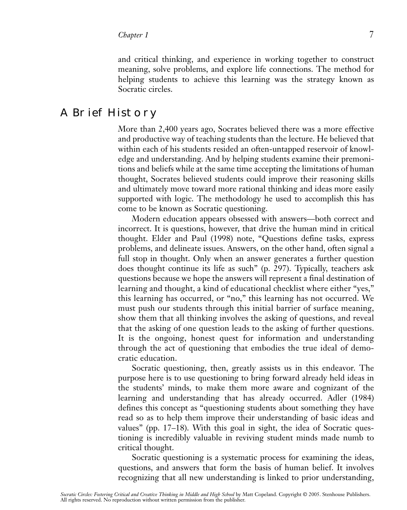and critical thinking, and experience in working together to construct meaning, solve problems, and explore life connections. The method for helping students to achieve this learning was the strategy known as Socratic circles.

#### A Brief History

More than 2,400 years ago, Socrates believed there was a more effective and productive way of teaching students than the lecture. He believed that within each of his students resided an often-untapped reservoir of knowledge and understanding. And by helping students examine their premonitions and beliefs while at the same time accepting the limitations of human thought, Socrates believed students could improve their reasoning skills and ultimately move toward more rational thinking and ideas more easily supported with logic. The methodology he used to accomplish this has come to be known as Socratic questioning.

Modern education appears obsessed with answers—both correct and incorrect. It is questions, however, that drive the human mind in critical thought. Elder and Paul (1998) note, "Questions define tasks, express problems, and delineate issues. Answers, on the other hand, often signal a full stop in thought. Only when an answer generates a further question does thought continue its life as such" (p. 297). Typically, teachers ask questions because we hope the answers will represent a final destination of learning and thought, a kind of educational checklist where either "yes," this learning has occurred, or "no," this learning has not occurred. We must push our students through this initial barrier of surface meaning, show them that all thinking involves the asking of questions, and reveal that the asking of one question leads to the asking of further questions. It is the ongoing, honest quest for information and understanding through the act of questioning that embodies the true ideal of democratic education.

Socratic questioning, then, greatly assists us in this endeavor. The purpose here is to use questioning to bring forward already held ideas in the students' minds, to make them more aware and cognizant of the learning and understanding that has already occurred. Adler (1984) defines this concept as "questioning students about something they have read so as to help them improve their understanding of basic ideas and values" (pp. 17–18). With this goal in sight, the idea of Socratic questioning is incredibly valuable in reviving student minds made numb to critical thought.

Socratic questioning is a systematic process for examining the ideas, questions, and answers that form the basis of human belief. It involves recognizing that all new understanding is linked to prior understanding,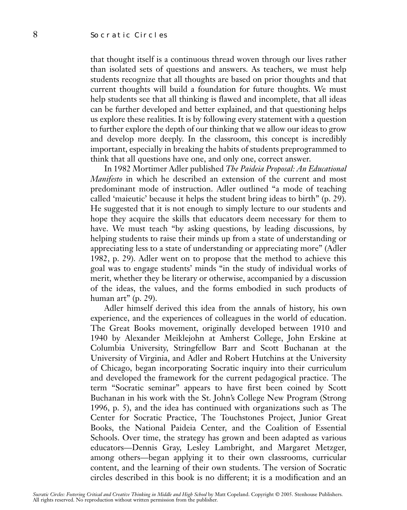that thought itself is a continuous thread woven through our lives rather than isolated sets of questions and answers. As teachers, we must help students recognize that all thoughts are based on prior thoughts and that current thoughts will build a foundation for future thoughts. We must help students see that all thinking is flawed and incomplete, that all ideas can be further developed and better explained, and that questioning helps us explore these realities. It is by following every statement with a question to further explore the depth of our thinking that we allow our ideas to grow and develop more deeply. In the classroom, this concept is incredibly important, especially in breaking the habits of students preprogrammed to think that all questions have one, and only one, correct answer.

In 1982 Mortimer Adler published *The Paideia Proposal: An Educational Manifesto* in which he described an extension of the current and most predominant mode of instruction. Adler outlined "a mode of teaching called 'maieutic' because it helps the student bring ideas to birth" (p. 29). He suggested that it is not enough to simply lecture to our students and hope they acquire the skills that educators deem necessary for them to have. We must teach "by asking questions, by leading discussions, by helping students to raise their minds up from a state of understanding or appreciating less to a state of understanding or appreciating more" (Adler 1982, p. 29). Adler went on to propose that the method to achieve this goal was to engage students' minds "in the study of individual works of merit, whether they be literary or otherwise, accompanied by a discussion of the ideas, the values, and the forms embodied in such products of human art" (p. 29).

Adler himself derived this idea from the annals of history, his own experience, and the experiences of colleagues in the world of education. The Great Books movement, originally developed between 1910 and 1940 by Alexander Meiklejohn at Amherst College, John Erskine at Columbia University, Stringfellow Barr and Scott Buchanan at the University of Virginia, and Adler and Robert Hutchins at the University of Chicago, began incorporating Socratic inquiry into their curriculum and developed the framework for the current pedagogical practice. The term "Socratic seminar" appears to have first been coined by Scott Buchanan in his work with the St. John's College New Program (Strong 1996, p. 5), and the idea has continued with organizations such as The Center for Socratic Practice, The Touchstones Project, Junior Great Books, the National Paideia Center, and the Coalition of Essential Schools. Over time, the strategy has grown and been adapted as various educators—Dennis Gray, Lesley Lambright, and Margaret Metzger, among others—began applying it to their own classrooms, curricular content, and the learning of their own students. The version of Socratic circles described in this book is no different; it is a modification and an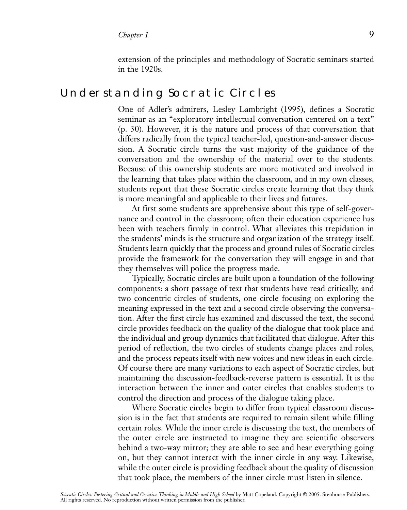extension of the principles and methodology of Socratic seminars started in the 1920s.

#### Understanding Socratic Circles

One of Adler's admirers, Lesley Lambright (1995), defines a Socratic seminar as an "exploratory intellectual conversation centered on a text" (p. 30). However, it is the nature and process of that conversation that differs radically from the typical teacher-led, question-and-answer discussion. A Socratic circle turns the vast majority of the guidance of the conversation and the ownership of the material over to the students. Because of this ownership students are more motivated and involved in the learning that takes place within the classroom, and in my own classes, students report that these Socratic circles create learning that they think is more meaningful and applicable to their lives and futures.

At first some students are apprehensive about this type of self-governance and control in the classroom; often their education experience has been with teachers firmly in control. What alleviates this trepidation in the students' minds is the structure and organization of the strategy itself. Students learn quickly that the process and ground rules of Socratic circles provide the framework for the conversation they will engage in and that they themselves will police the progress made.

Typically, Socratic circles are built upon a foundation of the following components: a short passage of text that students have read critically, and two concentric circles of students, one circle focusing on exploring the meaning expressed in the text and a second circle observing the conversation. After the first circle has examined and discussed the text, the second circle provides feedback on the quality of the dialogue that took place and the individual and group dynamics that facilitated that dialogue. After this period of reflection, the two circles of students change places and roles, and the process repeats itself with new voices and new ideas in each circle. Of course there are many variations to each aspect of Socratic circles, but maintaining the discussion-feedback-reverse pattern is essential. It is the interaction between the inner and outer circles that enables students to control the direction and process of the dialogue taking place.

Where Socratic circles begin to differ from typical classroom discussion is in the fact that students are required to remain silent while filling certain roles. While the inner circle is discussing the text, the members of the outer circle are instructed to imagine they are scientific observers behind a two-way mirror; they are able to see and hear everything going on, but they cannot interact with the inner circle in any way. Likewise, while the outer circle is providing feedback about the quality of discussion that took place, the members of the inner circle must listen in silence.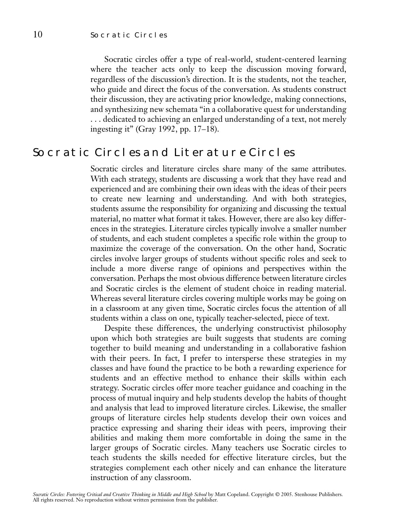Socratic circles offer a type of real-world, student-centered learning where the teacher acts only to keep the discussion moving forward, regardless of the discussion's direction. It is the students, not the teacher, who guide and direct the focus of the conversation. As students construct their discussion, they are activating prior knowledge, making connections, and synthesizing new schemata "in a collaborative quest for understanding . . . dedicated to achieving an enlarged understanding of a text, not merely ingesting it" (Gray 1992, pp. 17–18).

## Socratic Circles and Literature Circles

Socratic circles and literature circles share many of the same attributes. With each strategy, students are discussing a work that they have read and experienced and are combining their own ideas with the ideas of their peers to create new learning and understanding. And with both strategies, students assume the responsibility for organizing and discussing the textual material, no matter what format it takes. However, there are also key differences in the strategies. Literature circles typically involve a smaller number of students, and each student completes a specific role within the group to maximize the coverage of the conversation. On the other hand, Socratic circles involve larger groups of students without specific roles and seek to include a more diverse range of opinions and perspectives within the conversation. Perhaps the most obvious difference between literature circles and Socratic circles is the element of student choice in reading material. Whereas several literature circles covering multiple works may be going on in a classroom at any given time, Socratic circles focus the attention of all students within a class on one, typically teacher-selected, piece of text.

Despite these differences, the underlying constructivist philosophy upon which both strategies are built suggests that students are coming together to build meaning and understanding in a collaborative fashion with their peers. In fact, I prefer to intersperse these strategies in my classes and have found the practice to be both a rewarding experience for students and an effective method to enhance their skills within each strategy. Socratic circles offer more teacher guidance and coaching in the process of mutual inquiry and help students develop the habits of thought and analysis that lead to improved literature circles. Likewise, the smaller groups of literature circles help students develop their own voices and practice expressing and sharing their ideas with peers, improving their abilities and making them more comfortable in doing the same in the larger groups of Socratic circles. Many teachers use Socratic circles to teach students the skills needed for effective literature circles, but the strategies complement each other nicely and can enhance the literature instruction of any classroom.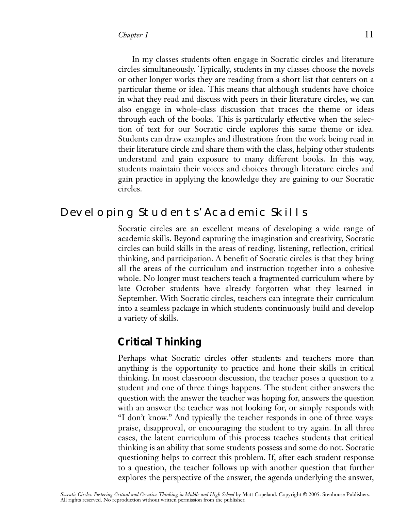In my classes students often engage in Socratic circles and literature circles simultaneously. Typically, students in my classes choose the novels or other longer works they are reading from a short list that centers on a particular theme or idea. This means that although students have choice in what they read and discuss with peers in their literature circles, we can also engage in whole-class discussion that traces the theme or ideas through each of the books. This is particularly effective when the selection of text for our Socratic circle explores this same theme or idea. Students can draw examples and illustrations from the work being read in their literature circle and share them with the class, helping other students understand and gain exposure to many different books. In this way, students maintain their voices and choices through literature circles and gain practice in applying the knowledge they are gaining to our Socratic circles.

## Developing Students' Academic Skills

Socratic circles are an excellent means of developing a wide range of academic skills. Beyond capturing the imagination and creativity, Socratic circles can build skills in the areas of reading, listening, reflection, critical thinking, and participation. A benefit of Socratic circles is that they bring all the areas of the curriculum and instruction together into a cohesive whole. No longer must teachers teach a fragmented curriculum where by late October students have already forgotten what they learned in September. With Socratic circles, teachers can integrate their curriculum into a seamless package in which students continuously build and develop a variety of skills.

## *Critical Thinking*

Perhaps what Socratic circles offer students and teachers more than anything is the opportunity to practice and hone their skills in critical thinking. In most classroom discussion, the teacher poses a question to a student and one of three things happens. The student either answers the question with the answer the teacher was hoping for, answers the question with an answer the teacher was not looking for, or simply responds with "I don't know." And typically the teacher responds in one of three ways: praise, disapproval, or encouraging the student to try again. In all three cases, the latent curriculum of this process teaches students that critical thinking is an ability that some students possess and some do not. Socratic questioning helps to correct this problem. If, after each student response to a question, the teacher follows up with another question that further explores the perspective of the answer, the agenda underlying the answer,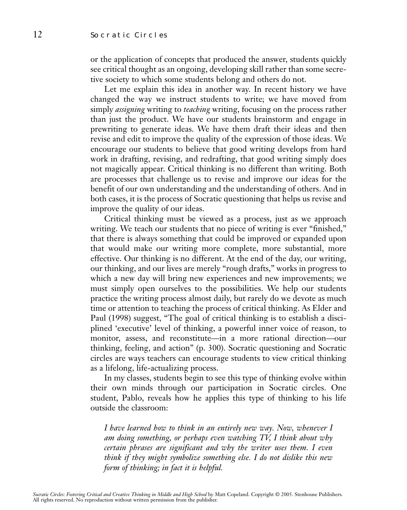or the application of concepts that produced the answer, students quickly see critical thought as an ongoing, developing skill rather than some secretive society to which some students belong and others do not.

Let me explain this idea in another way. In recent history we have changed the way we instruct students to write; we have moved from simply *assigning* writing to *teaching* writing, focusing on the process rather than just the product. We have our students brainstorm and engage in prewriting to generate ideas. We have them draft their ideas and then revise and edit to improve the quality of the expression of those ideas. We encourage our students to believe that good writing develops from hard work in drafting, revising, and redrafting, that good writing simply does not magically appear. Critical thinking is no different than writing. Both are processes that challenge us to revise and improve our ideas for the benefit of our own understanding and the understanding of others. And in both cases, it is the process of Socratic questioning that helps us revise and improve the quality of our ideas.

Critical thinking must be viewed as a process, just as we approach writing. We teach our students that no piece of writing is ever "finished," that there is always something that could be improved or expanded upon that would make our writing more complete, more substantial, more effective. Our thinking is no different. At the end of the day, our writing, our thinking, and our lives are merely "rough drafts," works in progress to which a new day will bring new experiences and new improvements; we must simply open ourselves to the possibilities. We help our students practice the writing process almost daily, but rarely do we devote as much time or attention to teaching the process of critical thinking. As Elder and Paul (1998) suggest, "The goal of critical thinking is to establish a disciplined 'executive' level of thinking, a powerful inner voice of reason, to monitor, assess, and reconstitute—in a more rational direction—our thinking, feeling, and action" (p. 300). Socratic questioning and Socratic circles are ways teachers can encourage students to view critical thinking as a lifelong, life-actualizing process.

In my classes, students begin to see this type of thinking evolve within their own minds through our participation in Socratic circles. One student, Pablo, reveals how he applies this type of thinking to his life outside the classroom:

*I have learned how to think in an entirely new way. Now, whenever I am doing something, or perhaps even watching TV, I think about why certain phrases are significant and why the writer uses them. I even think if they might symbolize something else. I do not dislike this new form of thinking; in fact it is helpful.*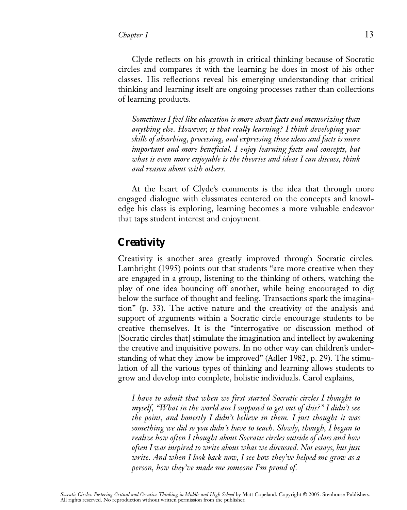Clyde reflects on his growth in critical thinking because of Socratic circles and compares it with the learning he does in most of his other classes. His reflections reveal his emerging understanding that critical thinking and learning itself are ongoing processes rather than collections of learning products.

*Sometimes I feel like education is more about facts and memorizing than anything else. However, is that really learning? I think developing your skills of absorbing, processing, and expressing those ideas and facts is more important and more beneficial. I enjoy learning facts and concepts, but what is even more enjoyable is the theories and ideas I can discuss, think and reason about with others.*

At the heart of Clyde's comments is the idea that through more engaged dialogue with classmates centered on the concepts and knowledge his class is exploring, learning becomes a more valuable endeavor that taps student interest and enjoyment.

#### *Creativity*

Creativity is another area greatly improved through Socratic circles. Lambright (1995) points out that students "are more creative when they are engaged in a group, listening to the thinking of others, watching the play of one idea bouncing off another, while being encouraged to dig below the surface of thought and feeling. Transactions spark the imagination" (p. 33). The active nature and the creativity of the analysis and support of arguments within a Socratic circle encourage students to be creative themselves. It is the "interrogative or discussion method of [Socratic circles that] stimulate the imagination and intellect by awakening the creative and inquisitive powers. In no other way can children's understanding of what they know be improved" (Adler 1982, p. 29). The stimulation of all the various types of thinking and learning allows students to grow and develop into complete, holistic individuals. Carol explains,

*I have to admit that when we first started Socratic circles I thought to myself, "What in the world am I supposed to get out of this?" I didn't see the point, and honestly I didn't believe in them. I just thought it was something we did so you didn't have to teach. Slowly, though, I began to realize how often I thought about Socratic circles outside of class and how often I was inspired to write about what we discussed. Not essays, but just write. And when I look back now, I see how they've helped me grow as a person, how they've made me someone I'm proud of.*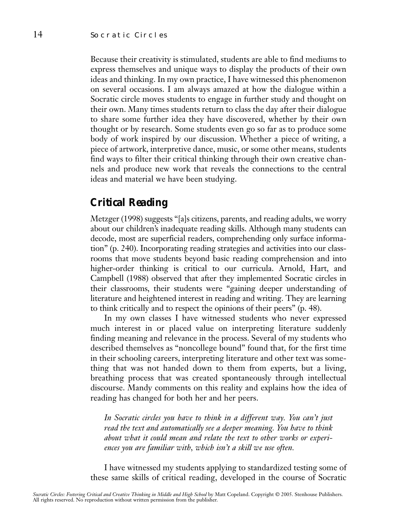Because their creativity is stimulated, students are able to find mediums to express themselves and unique ways to display the products of their own ideas and thinking. In my own practice, I have witnessed this phenomenon on several occasions. I am always amazed at how the dialogue within a Socratic circle moves students to engage in further study and thought on their own. Many times students return to class the day after their dialogue to share some further idea they have discovered, whether by their own thought or by research. Some students even go so far as to produce some body of work inspired by our discussion. Whether a piece of writing, a piece of artwork, interpretive dance, music, or some other means, students find ways to filter their critical thinking through their own creative channels and produce new work that reveals the connections to the central ideas and material we have been studying.

## *Critical Reading*

Metzger (1998) suggests "[a]s citizens, parents, and reading adults, we worry about our children's inadequate reading skills. Although many students can decode, most are superficial readers, comprehending only surface information" (p. 240). Incorporating reading strategies and activities into our classrooms that move students beyond basic reading comprehension and into higher-order thinking is critical to our curricula. Arnold, Hart, and Campbell (1988) observed that after they implemented Socratic circles in their classrooms, their students were "gaining deeper understanding of literature and heightened interest in reading and writing. They are learning to think critically and to respect the opinions of their peers" (p. 48).

In my own classes I have witnessed students who never expressed much interest in or placed value on interpreting literature suddenly finding meaning and relevance in the process. Several of my students who described themselves as "noncollege bound" found that, for the first time in their schooling careers, interpreting literature and other text was something that was not handed down to them from experts, but a living, breathing process that was created spontaneously through intellectual discourse. Mandy comments on this reality and explains how the idea of reading has changed for both her and her peers.

*In Socratic circles you have to think in a different way. You can't just read the text and automatically see a deeper meaning. You have to think about what it could mean and relate the text to other works or experiences you are familiar with, which isn't a skill we use often.*

I have witnessed my students applying to standardized testing some of these same skills of critical reading, developed in the course of Socratic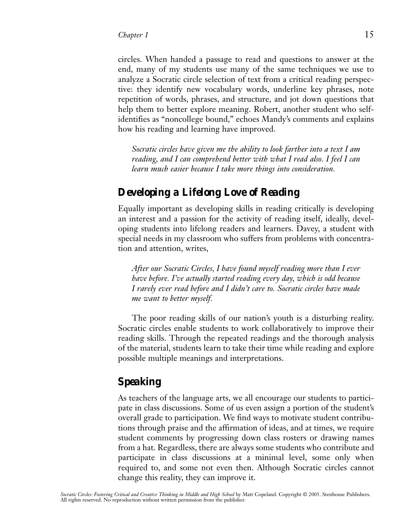circles. When handed a passage to read and questions to answer at the end, many of my students use many of the same techniques we use to analyze a Socratic circle selection of text from a critical reading perspective: they identify new vocabulary words, underline key phrases, note repetition of words, phrases, and structure, and jot down questions that help them to better explore meaning. Robert, another student who selfidentifies as "noncollege bound," echoes Mandy's comments and explains how his reading and learning have improved.

*Socratic circles have given me the ability to look farther into a text I am reading, and I can comprehend better with what I read also. I feel I can learn much easier because I take more things into consideration.*

## *Developing a Lifelong Love of Reading*

Equally important as developing skills in reading critically is developing an interest and a passion for the activity of reading itself, ideally, developing students into lifelong readers and learners. Davey, a student with special needs in my classroom who suffers from problems with concentration and attention, writes,

*After our Socratic Circles, I have found myself reading more than I ever have before. I've actually started reading every day, which is odd because I rarely ever read before and I didn't care to. Socratic circles have made me want to better myself.*

The poor reading skills of our nation's youth is a disturbing reality. Socratic circles enable students to work collaboratively to improve their reading skills. Through the repeated readings and the thorough analysis of the material, students learn to take their time while reading and explore possible multiple meanings and interpretations.

## *Speaking*

As teachers of the language arts, we all encourage our students to participate in class discussions. Some of us even assign a portion of the student's overall grade to participation. We find ways to motivate student contributions through praise and the affirmation of ideas, and at times, we require student comments by progressing down class rosters or drawing names from a hat. Regardless, there are always some students who contribute and participate in class discussions at a minimal level, some only when required to, and some not even then. Although Socratic circles cannot change this reality, they can improve it.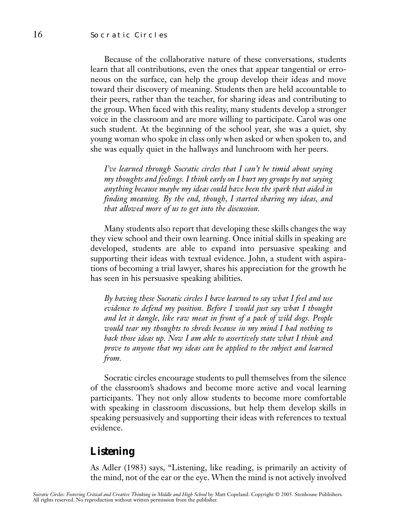Because of the collaborative nature of these conversations, students learn that all contributions, even the ones that appear tangential or erroneous on the surface, can help the group develop their ideas and move toward their discovery of meaning. Students then are held accountable to their peers, rather than the teacher, for sharing ideas and contributing to the group. When faced with this reality, many students develop a stronger voice in the classroom and are more willing to participate. Carol was one such student. At the beginning of the school year, she was a quiet, shy young woman who spoke in class only when asked or when spoken to, and she was equally quiet in the hallways and lunchroom with her peers.

*I've learned through Socratic circles that I can't be timid about saying my thoughts and feelings. I think early on I hurt my groups by not saying anything because maybe my ideas could have been the spark that aided in finding meaning. By the end, though, I started sharing my ideas, and that allowed more of us to get into the discussion.*

Many students also report that developing these skills changes the way they view school and their own learning. Once initial skills in speaking are developed, students are able to expand into persuasive speaking and supporting their ideas with textual evidence. John, a student with aspirations of becoming a trial lawyer, shares his appreciation for the growth he has seen in his persuasive speaking abilities.

*By having these Socratic circles I have learned to say what I feel and use evidence to defend my position. Before I would just say what I thought and let it dangle, like raw meat in front of a pack of wild dogs. People would tear my thoughts to shreds because in my mind I had nothing to back those ideas up. Now I am able to assertively state what I think and prove to anyone that my ideas can be applied to the subject and learned from.*

Socratic circles encourage students to pull themselves from the silence of the classroom's shadows and become more active and vocal learning participants. They not only allow students to become more comfortable with speaking in classroom discussions, but help them develop skills in speaking persuasively and supporting their ideas with references to textual evidence.

#### *Listening*

As Adler (1983) says, "Listening, like reading, is primarily an activity of the mind, not of the ear or the eye. When the mind is not actively involved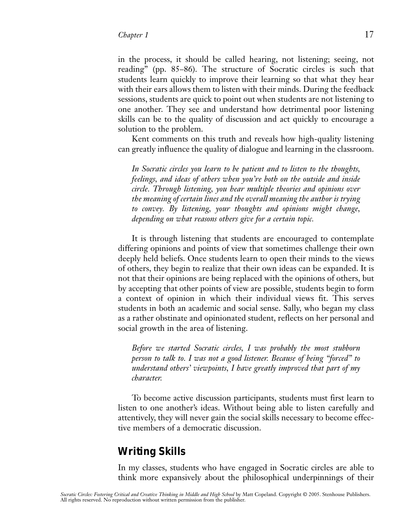in the process, it should be called hearing, not listening; seeing, not reading" (pp. 85–86). The structure of Socratic circles is such that students learn quickly to improve their learning so that what they hear with their ears allows them to listen with their minds. During the feedback sessions, students are quick to point out when students are not listening to one another. They see and understand how detrimental poor listening skills can be to the quality of discussion and act quickly to encourage a solution to the problem.

Kent comments on this truth and reveals how high-quality listening can greatly influence the quality of dialogue and learning in the classroom.

*In Socratic circles you learn to be patient and to listen to the thoughts, feelings, and ideas of others when you're both on the outside and inside circle. Through listening, you hear multiple theories and opinions over the meaning of certain lines and the overall meaning the author is trying to convey. By listening, your thoughts and opinions might change, depending on what reasons others give for a certain topic.*

It is through listening that students are encouraged to contemplate differing opinions and points of view that sometimes challenge their own deeply held beliefs. Once students learn to open their minds to the views of others, they begin to realize that their own ideas can be expanded. It is not that their opinions are being replaced with the opinions of others, but by accepting that other points of view are possible, students begin to form a context of opinion in which their individual views fit. This serves students in both an academic and social sense. Sally, who began my class as a rather obstinate and opinionated student, reflects on her personal and social growth in the area of listening.

*Before we started Socratic circles, I was probably the most stubborn person to talk to. I was not a good listener. Because of being "forced" to understand others' viewpoints, I have greatly improved that part of my character.*

To become active discussion participants, students must first learn to listen to one another's ideas. Without being able to listen carefully and attentively, they will never gain the social skills necessary to become effective members of a democratic discussion.

#### *Writing Skills*

In my classes, students who have engaged in Socratic circles are able to think more expansively about the philosophical underpinnings of their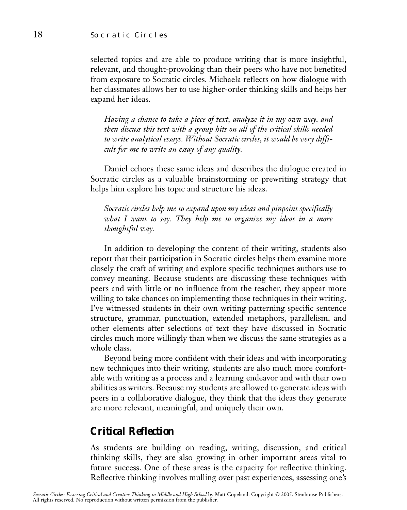selected topics and are able to produce writing that is more insightful, relevant, and thought-provoking than their peers who have not benefited from exposure to Socratic circles. Michaela reflects on how dialogue with her classmates allows her to use higher-order thinking skills and helps her expand her ideas.

*Having a chance to take a piece of text, analyze it in my own way, and then discuss this text with a group hits on all of the critical skills needed to write analytical essays. Without Socratic circles, it would be very difficult for me to write an essay of any quality.*

Daniel echoes these same ideas and describes the dialogue created in Socratic circles as a valuable brainstorming or prewriting strategy that helps him explore his topic and structure his ideas.

*Socratic circles help me to expand upon my ideas and pinpoint specifically what I want to say. They help me to organize my ideas in a more thoughtful way.* 

In addition to developing the content of their writing, students also report that their participation in Socratic circles helps them examine more closely the craft of writing and explore specific techniques authors use to convey meaning. Because students are discussing these techniques with peers and with little or no influence from the teacher, they appear more willing to take chances on implementing those techniques in their writing. I've witnessed students in their own writing patterning specific sentence structure, grammar, punctuation, extended metaphors, parallelism, and other elements after selections of text they have discussed in Socratic circles much more willingly than when we discuss the same strategies as a whole class.

Beyond being more confident with their ideas and with incorporating new techniques into their writing, students are also much more comfortable with writing as a process and a learning endeavor and with their own abilities as writers. Because my students are allowed to generate ideas with peers in a collaborative dialogue, they think that the ideas they generate are more relevant, meaningful, and uniquely their own.

#### *Critical Reflection*

As students are building on reading, writing, discussion, and critical thinking skills, they are also growing in other important areas vital to future success. One of these areas is the capacity for reflective thinking. Reflective thinking involves mulling over past experiences, assessing one's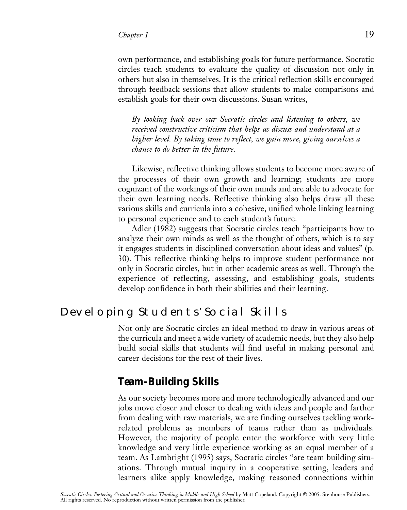own performance, and establishing goals for future performance. Socratic circles teach students to evaluate the quality of discussion not only in others but also in themselves. It is the critical reflection skills encouraged through feedback sessions that allow students to make comparisons and establish goals for their own discussions. Susan writes,

*By looking back over our Socratic circles and listening to others, we received constructive criticism that helps us discuss and understand at a higher level. By taking time to reflect, we gain more, giving ourselves a chance to do better in the future.*

Likewise, reflective thinking allows students to become more aware of the processes of their own growth and learning; students are more cognizant of the workings of their own minds and are able to advocate for their own learning needs. Reflective thinking also helps draw all these various skills and curricula into a cohesive, unified whole linking learning to personal experience and to each student's future.

Adler (1982) suggests that Socratic circles teach "participants how to analyze their own minds as well as the thought of others, which is to say it engages students in disciplined conversation about ideas and values" (p. 30). This reflective thinking helps to improve student performance not only in Socratic circles, but in other academic areas as well. Through the experience of reflecting, assessing, and establishing goals, students develop confidence in both their abilities and their learning.

#### Developing Students' Social Skills

Not only are Socratic circles an ideal method to draw in various areas of the curricula and meet a wide variety of academic needs, but they also help build social skills that students will find useful in making personal and career decisions for the rest of their lives.

## *Team-Building Skills*

As our society becomes more and more technologically advanced and our jobs move closer and closer to dealing with ideas and people and farther from dealing with raw materials, we are finding ourselves tackling workrelated problems as members of teams rather than as individuals. However, the majority of people enter the workforce with very little knowledge and very little experience working as an equal member of a team. As Lambright (1995) says, Socratic circles "are team building situations. Through mutual inquiry in a cooperative setting, leaders and learners alike apply knowledge, making reasoned connections within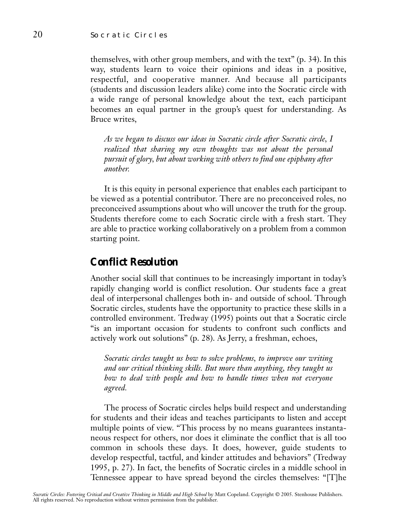themselves, with other group members, and with the text" (p. 34). In this way, students learn to voice their opinions and ideas in a positive, respectful, and cooperative manner. And because all participants (students and discussion leaders alike) come into the Socratic circle with a wide range of personal knowledge about the text, each participant becomes an equal partner in the group's quest for understanding. As Bruce writes,

*As we began to discuss our ideas in Socratic circle after Socratic circle, I realized that sharing my own thoughts was not about the personal pursuit of glory, but about working with others to find one epiphany after another.*

It is this equity in personal experience that enables each participant to be viewed as a potential contributor. There are no preconceived roles, no preconceived assumptions about who will uncover the truth for the group. Students therefore come to each Socratic circle with a fresh start. They are able to practice working collaboratively on a problem from a common starting point.

#### *Conflict Resolution*

Another social skill that continues to be increasingly important in today's rapidly changing world is conflict resolution. Our students face a great deal of interpersonal challenges both in- and outside of school. Through Socratic circles, students have the opportunity to practice these skills in a controlled environment. Tredway (1995) points out that a Socratic circle "is an important occasion for students to confront such conflicts and actively work out solutions" (p. 28). As Jerry, a freshman, echoes,

*Socratic circles taught us how to solve problems, to improve our writing and our critical thinking skills. But more than anything, they taught us how to deal with people and how to handle times when not everyone agreed.*

The process of Socratic circles helps build respect and understanding for students and their ideas and teaches participants to listen and accept multiple points of view. "This process by no means guarantees instantaneous respect for others, nor does it eliminate the conflict that is all too common in schools these days. It does, however, guide students to develop respectful, tactful, and kinder attitudes and behaviors" (Tredway 1995, p. 27). In fact, the benefits of Socratic circles in a middle school in Tennessee appear to have spread beyond the circles themselves: "[T]he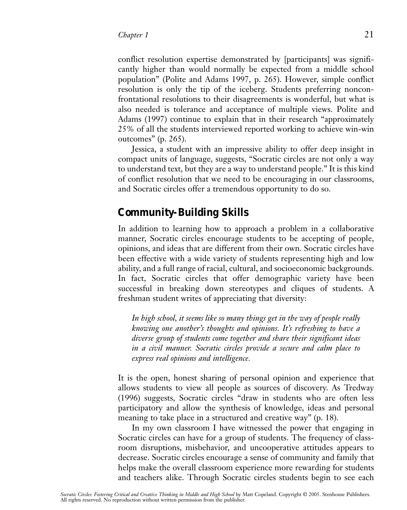conflict resolution expertise demonstrated by [participants] was significantly higher than would normally be expected from a middle school population" (Polite and Adams 1997, p. 265). However, simple conflict resolution is only the tip of the iceberg. Students preferring nonconfrontational resolutions to their disagreements is wonderful, but what is also needed is tolerance and acceptance of multiple views. Polite and Adams (1997) continue to explain that in their research "approximately 25% of all the students interviewed reported working to achieve win-win outcomes" (p. 265).

Jessica, a student with an impressive ability to offer deep insight in compact units of language, suggests, "Socratic circles are not only a way to understand text, but they are a way to understand people." It is this kind of conflict resolution that we need to be encouraging in our classrooms, and Socratic circles offer a tremendous opportunity to do so.

#### *Community-Building Skills*

In addition to learning how to approach a problem in a collaborative manner, Socratic circles encourage students to be accepting of people, opinions, and ideas that are different from their own. Socratic circles have been effective with a wide variety of students representing high and low ability, and a full range of racial, cultural, and socioeconomic backgrounds. In fact, Socratic circles that offer demographic variety have been successful in breaking down stereotypes and cliques of students. A freshman student writes of appreciating that diversity:

*In high school, it seems like so many things get in the way of people really knowing one another's thoughts and opinions. It's refreshing to have a diverse group of students come together and share their significant ideas in a civil manner. Socratic circles provide a secure and calm place to express real opinions and intelligence.*

It is the open, honest sharing of personal opinion and experience that allows students to view all people as sources of discovery. As Tredway (1996) suggests, Socratic circles "draw in students who are often less participatory and allow the synthesis of knowledge, ideas and personal meaning to take place in a structured and creative way" (p. 18).

In my own classroom I have witnessed the power that engaging in Socratic circles can have for a group of students. The frequency of classroom disruptions, misbehavior, and uncooperative attitudes appears to decrease. Socratic circles encourage a sense of community and family that helps make the overall classroom experience more rewarding for students and teachers alike. Through Socratic circles students begin to see each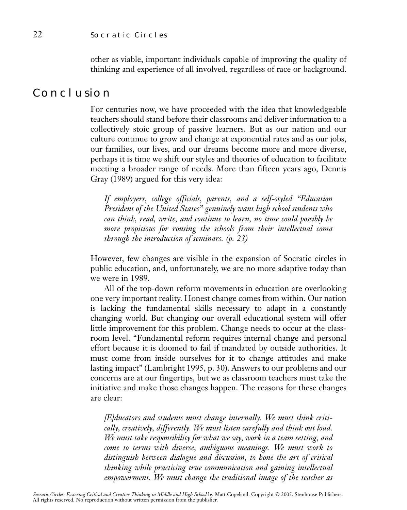other as viable, important individuals capable of improving the quality of thinking and experience of all involved, regardless of race or background.

#### Conclusion

For centuries now, we have proceeded with the idea that knowledgeable teachers should stand before their classrooms and deliver information to a collectively stoic group of passive learners. But as our nation and our culture continue to grow and change at exponential rates and as our jobs, our families, our lives, and our dreams become more and more diverse, perhaps it is time we shift our styles and theories of education to facilitate meeting a broader range of needs. More than fifteen years ago, Dennis Gray (1989) argued for this very idea:

*If employers, college officials, parents, and a self-styled "Education President of the United States" genuinely want high school students who can think, read, write, and continue to learn, no time could possibly be more propitious for rousing the schools from their intellectual coma through the introduction of seminars. (p. 23)*

However, few changes are visible in the expansion of Socratic circles in public education, and, unfortunately, we are no more adaptive today than we were in 1989.

All of the top-down reform movements in education are overlooking one very important reality. Honest change comes from within. Our nation is lacking the fundamental skills necessary to adapt in a constantly changing world. But changing our overall educational system will offer little improvement for this problem. Change needs to occur at the classroom level. "Fundamental reform requires internal change and personal effort because it is doomed to fail if mandated by outside authorities. It must come from inside ourselves for it to change attitudes and make lasting impact" (Lambright 1995, p. 30). Answers to our problems and our concerns are at our fingertips, but we as classroom teachers must take the initiative and make those changes happen. The reasons for these changes are clear:

*[E]ducators and students must change internally. We must think critically, creatively, differently. We must listen carefully and think out loud. We must take responsibility for what we say, work in a team setting, and come to terms with diverse, ambiguous meanings. We must work to distinguish between dialogue and discussion, to hone the art of critical thinking while practicing true communication and gaining intellectual empowerment. We must change the traditional image of the teacher as*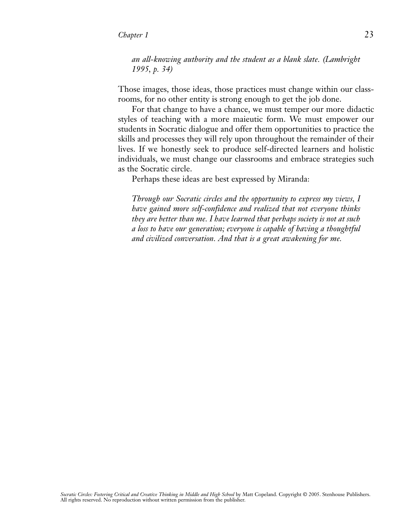*an all-knowing authority and the student as a blank slate. (Lambright 1995, p. 34)*

Those images, those ideas, those practices must change within our classrooms, for no other entity is strong enough to get the job done.

For that change to have a chance, we must temper our more didactic styles of teaching with a more maieutic form. We must empower our students in Socratic dialogue and offer them opportunities to practice the skills and processes they will rely upon throughout the remainder of their lives. If we honestly seek to produce self-directed learners and holistic individuals, we must change our classrooms and embrace strategies such as the Socratic circle.

Perhaps these ideas are best expressed by Miranda:

*Through our Socratic circles and the opportunity to express my views, I have gained more self-confidence and realized that not everyone thinks they are better than me. I have learned that perhaps society is not at such a loss to have our generation; everyone is capable of having a thoughtful and civilized conversation. And that is a great awakening for me.*